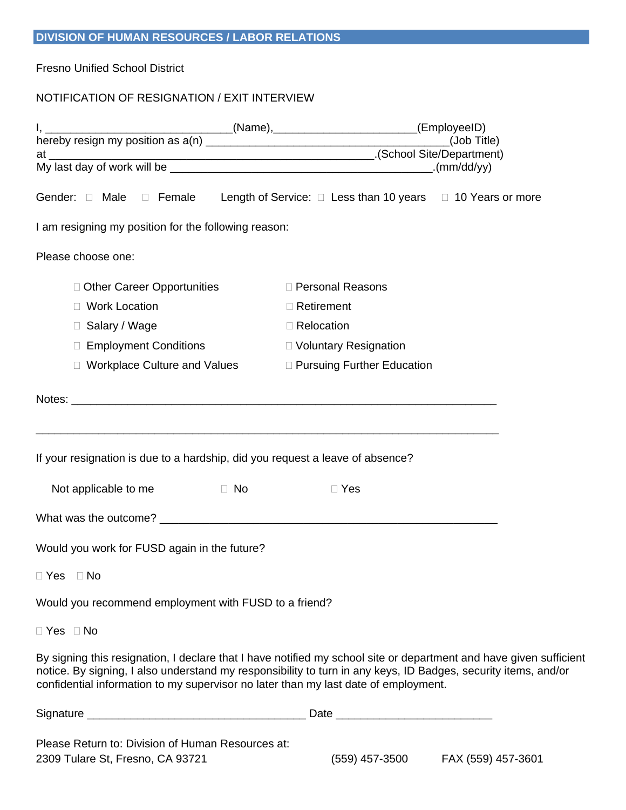## **DIVISION OF HUMAN RESOURCES / LABOR RELATIONS**

Fresno Unified School District

## NOTIFICATION OF RESIGNATION / EXIT INTERVIEW

| I am resigning my position for the following reason:                                  |                                                                                                                                                                                                                                      |  |  |
|---------------------------------------------------------------------------------------|--------------------------------------------------------------------------------------------------------------------------------------------------------------------------------------------------------------------------------------|--|--|
| Please choose one:                                                                    |                                                                                                                                                                                                                                      |  |  |
| □ Other Career Opportunities                                                          | □ Personal Reasons                                                                                                                                                                                                                   |  |  |
| <b>Work Location</b>                                                                  | $\Box$ Retirement                                                                                                                                                                                                                    |  |  |
| □ Salary / Wage                                                                       | $\Box$ Relocation                                                                                                                                                                                                                    |  |  |
| □ Employment Conditions                                                               | □ Voluntary Resignation                                                                                                                                                                                                              |  |  |
| □ Workplace Culture and Values                                                        | □ Pursuing Further Education                                                                                                                                                                                                         |  |  |
|                                                                                       |                                                                                                                                                                                                                                      |  |  |
|                                                                                       |                                                                                                                                                                                                                                      |  |  |
|                                                                                       |                                                                                                                                                                                                                                      |  |  |
| If your resignation is due to a hardship, did you request a leave of absence?         |                                                                                                                                                                                                                                      |  |  |
| D No<br>Not applicable to me                                                          | $\Box$ Yes                                                                                                                                                                                                                           |  |  |
|                                                                                       |                                                                                                                                                                                                                                      |  |  |
| Would you work for FUSD again in the future?                                          |                                                                                                                                                                                                                                      |  |  |
| □ Yes □ No                                                                            |                                                                                                                                                                                                                                      |  |  |
| Would you recommend employment with FUSD to a friend?                                 |                                                                                                                                                                                                                                      |  |  |
| $\Box$ Yes $\Box$ No                                                                  |                                                                                                                                                                                                                                      |  |  |
| confidential information to my supervisor no later than my last date of employment.   | By signing this resignation, I declare that I have notified my school site or department and have given sufficient<br>notice. By signing, I also understand my responsibility to turn in any keys, ID Badges, security items, and/or |  |  |
|                                                                                       |                                                                                                                                                                                                                                      |  |  |
| Please Return to: Division of Human Resources at:<br>2309 Tulare St, Fresno, CA 93721 | (559) 457-3500<br>FAX (559) 457-3601                                                                                                                                                                                                 |  |  |